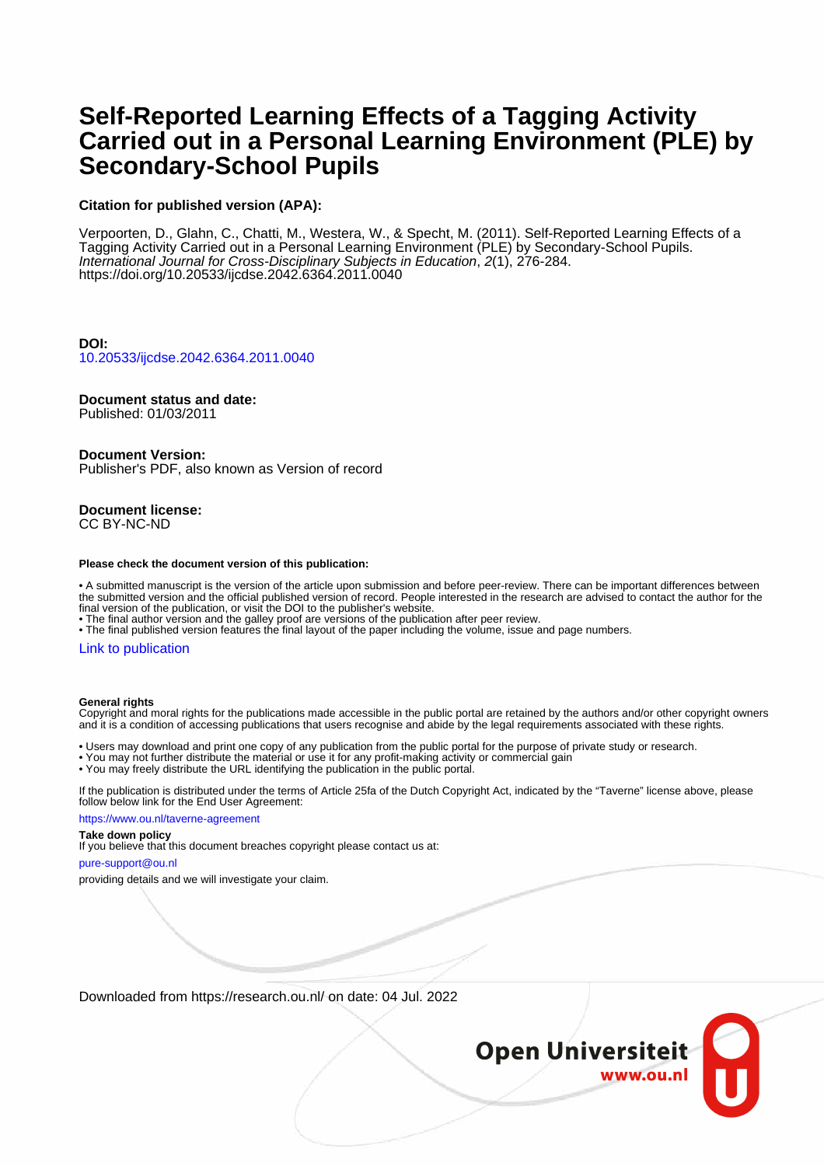# **Self-Reported Learning Effects of a Tagging Activity Carried out in a Personal Learning Environment (PLE) by Secondary-School Pupils**

### **Citation for published version (APA):**

Verpoorten, D., Glahn, C., Chatti, M., Westera, W., & Specht, M. (2011). Self-Reported Learning Effects of a Tagging Activity Carried out in a Personal Learning Environment (PLE) by Secondary-School Pupils. International Journal for Cross-Disciplinary Subjects in Education, 2(1), 276-284. <https://doi.org/10.20533/ijcdse.2042.6364.2011.0040>

**DOI:** [10.20533/ijcdse.2042.6364.2011.0040](https://doi.org/10.20533/ijcdse.2042.6364.2011.0040)

### **Document status and date:**

Published: 01/03/2011

### **Document Version:**

Publisher's PDF, also known as Version of record

# **Document license:**

CC BY-NC-ND

#### **Please check the document version of this publication:**

• A submitted manuscript is the version of the article upon submission and before peer-review. There can be important differences between the submitted version and the official published version of record. People interested in the research are advised to contact the author for the final version of the publication, or visit the DOI to the publisher's website.

• The final author version and the galley proof are versions of the publication after peer review.

• The final published version features the final layout of the paper including the volume, issue and page numbers.

### [Link to publication](https://research.ou.nl/en/publications/1c662021-2c1b-4507-97c9-c2cb86a2147c)

#### **General rights**

Copyright and moral rights for the publications made accessible in the public portal are retained by the authors and/or other copyright owners and it is a condition of accessing publications that users recognise and abide by the legal requirements associated with these rights.

• Users may download and print one copy of any publication from the public portal for the purpose of private study or research.

- You may not further distribute the material or use it for any profit-making activity or commercial gain
- You may freely distribute the URL identifying the publication in the public portal.

If the publication is distributed under the terms of Article 25fa of the Dutch Copyright Act, indicated by the "Taverne" license above, please follow below link for the End User Agreement:

#### https://www.ou.nl/taverne-agreement

### **Take down policy**

If you believe that this document breaches copyright please contact us at:

### pure-support@ou.nl

providing details and we will investigate your claim.

Downloaded from https://research.ou.nl/ on date: 04 Jul. 2022

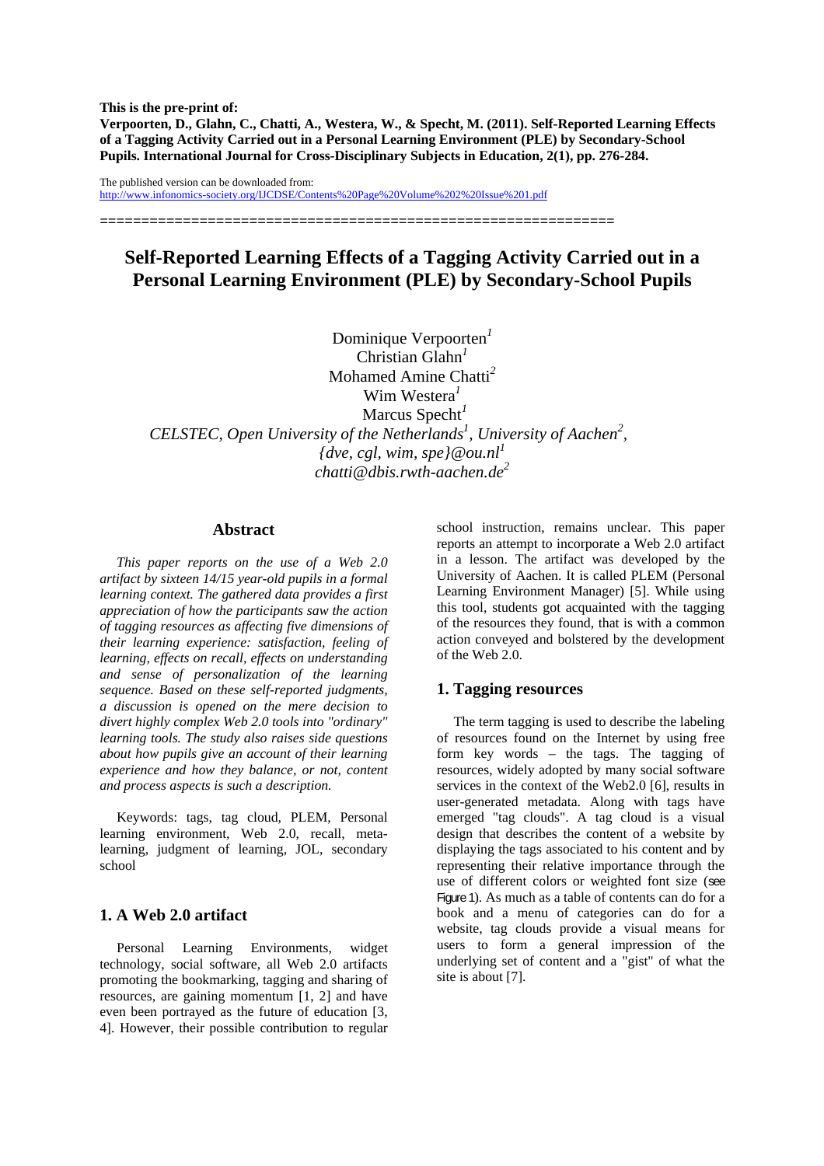**This is the pre-print of: Verpoorten, D., Glahn, C., Chatti, A., Westera, W., & Specht, M. (2011). Self-Reported Learning Effects of a Tagging Activity Carried out in a Personal Learning Environment (PLE) by Secondary-School Pupils. International Journal for Cross-Disciplinary Subjects in Education, 2(1), pp. 276-284.** 

The published version can be downloaded from: http://www.infonomics-society.org/IJCDSE/Contents%20Page%20Volume%202%20Issue%201.pdf

==============================================================

# **Self-Reported Learning Effects of a Tagging Activity Carried out in a Personal Learning Environment (PLE) by Secondary-School Pupils**

Dominique Verpoorten*<sup>1</sup>* Christian Glahn*<sup>1</sup>* Mohamed Amine Chatti*<sup>2</sup>* Wim Westera*<sup>1</sup>* Marcus Specht*<sup>1</sup> CELSTEC, Open University of the Netherlands<sup>1</sup>, University of Aachen<sup>2</sup>,*  ${dve, cg}$ *l, wim, spe* ${$ *@ou.nl*<sup>*1*</sup> *chatti@dbis.rwth-aachen.de2*

# **Abstract**

*This paper reports on the use of a Web 2.0 artifact by sixteen 14/15 year-old pupils in a formal learning context. The gathered data provides a first appreciation of how the participants saw the action of tagging resources as affecting five dimensions of their learning experience: satisfaction, feeling of learning, effects on recall, effects on understanding and sense of personalization of the learning sequence. Based on these self-reported judgments, a discussion is opened on the mere decision to divert highly complex Web 2.0 tools into "ordinary" learning tools. The study also raises side questions about how pupils give an account of their learning experience and how they balance, or not, content and process aspects is such a description.* 

Keywords: tags, tag cloud, PLEM, Personal learning environment, Web 2.0, recall, metalearning, judgment of learning, JOL, secondary school

# **1. A Web 2.0 artifact**

Personal Learning Environments, widget technology, social software, all Web 2.0 artifacts promoting the bookmarking, tagging and sharing of resources, are gaining momentum [1, 2] and have even been portrayed as the future of education [3, 4]. However, their possible contribution to regular

school instruction, remains unclear. This paper reports an attempt to incorporate a Web 2.0 artifact in a lesson. The artifact was developed by the University of Aachen. It is called PLEM (Personal Learning Environment Manager) [5]. While using this tool, students got acquainted with the tagging of the resources they found, that is with a common action conveyed and bolstered by the development of the Web 2.0.

# **1. Tagging resources**

The term tagging is used to describe the labeling of resources found on the Internet by using free form key words – the tags. The tagging of resources, widely adopted by many social software services in the context of the Web2.0 [6], results in user-generated metadata. Along with tags have emerged "tag clouds". A tag cloud is a visual design that describes the content of a website by displaying the tags associated to his content and by representing their relative importance through the use of different colors or weighted font size (see Figure 1). As much as a table of contents can do for a book and a menu of categories can do for a website, tag clouds provide a visual means for users to form a general impression of the underlying set of content and a "gist" of what the site is about [7].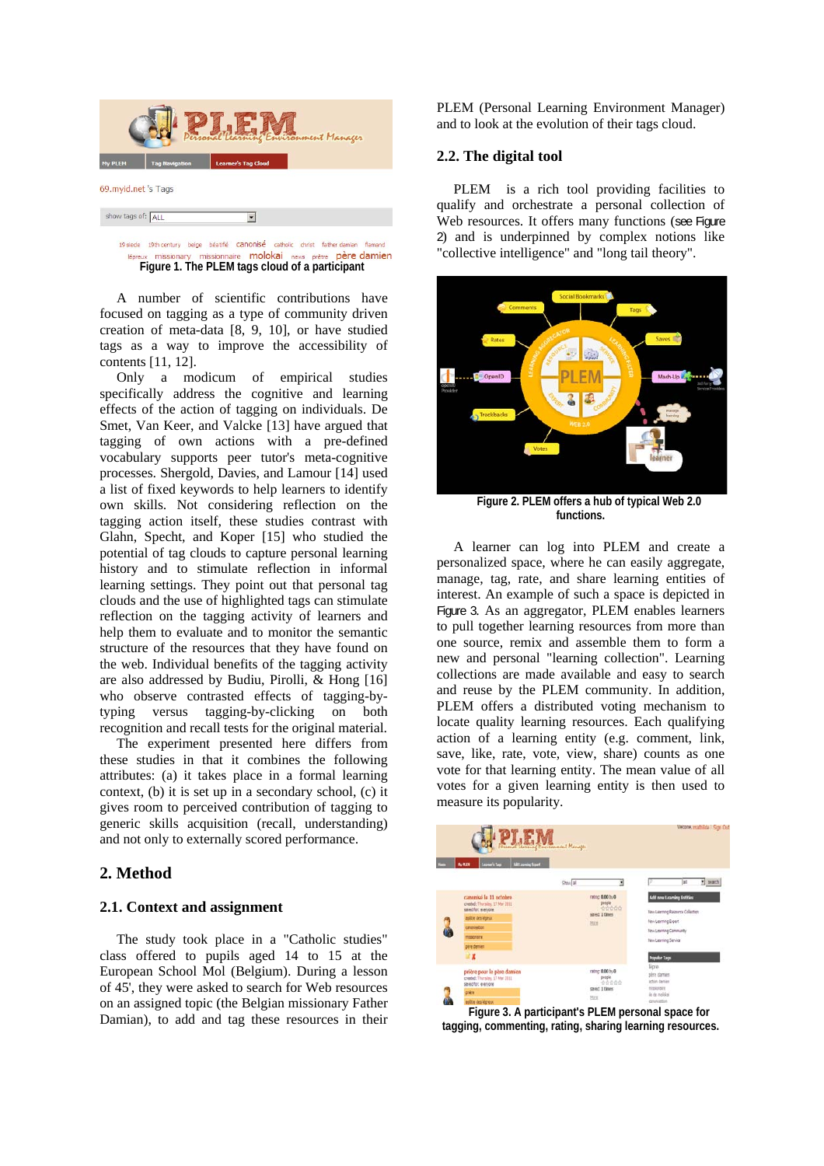

### 19 siede 19th century belge béatifié Canonisé catholic christ father damian flamand missionary missionnaire molokai news prêtre père damien **Figure 1. The PLEM tags cloud of a participant**

A number of scientific contributions have focused on tagging as a type of community driven creation of meta-data [8, 9, 10], or have studied tags as a way to improve the accessibility of contents [11, 12].

Only a modicum of empirical studies specifically address the cognitive and learning effects of the action of tagging on individuals. De Smet, Van Keer, and Valcke [13] have argued that tagging of own actions with a pre-defined vocabulary supports peer tutor's meta-cognitive processes. Shergold, Davies, and Lamour [14] used a list of fixed keywords to help learners to identify own skills. Not considering reflection on the tagging action itself, these studies contrast with Glahn, Specht, and Koper [15] who studied the potential of tag clouds to capture personal learning history and to stimulate reflection in informal learning settings. They point out that personal tag clouds and the use of highlighted tags can stimulate reflection on the tagging activity of learners and help them to evaluate and to monitor the semantic structure of the resources that they have found on the web. Individual benefits of the tagging activity are also addressed by Budiu, Pirolli, & Hong [16] who observe contrasted effects of tagging-bytyping versus tagging-by-clicking on both recognition and recall tests for the original material.

The experiment presented here differs from these studies in that it combines the following attributes: (a) it takes place in a formal learning context, (b) it is set up in a secondary school, (c) it gives room to perceived contribution of tagging to generic skills acquisition (recall, understanding) and not only to externally scored performance.

# **2. Method**

# **2.1. Context and assignment**

The study took place in a "Catholic studies" class offered to pupils aged 14 to 15 at the European School Mol (Belgium). During a lesson of 45', they were asked to search for Web resources on an assigned topic (the Belgian missionary Father Damian), to add and tag these resources in their PLEM (Personal Learning Environment Manager) and to look at the evolution of their tags cloud.

# **2.2. The digital tool**

PLEM is a rich tool providing facilities to qualify and orchestrate a personal collection of Web resources. It offers many functions (see Figure 2) and is underpinned by complex notions like "collective intelligence" and "long tail theory".



**Figure 2. PLEM offers a hub of typical Web 2.0 functions.** 

A learner can log into PLEM and create a personalized space, where he can easily aggregate, manage, tag, rate, and share learning entities of interest. An example of such a space is depicted in Figure 3. As an aggregator, PLEM enables learners to pull together learning resources from more than one source, remix and assemble them to form a new and personal "learning collection". Learning collections are made available and easy to search and reuse by the PLEM community. In addition, PLEM offers a distributed voting mechanism to locate quality learning resources. Each qualifying action of a learning entity (e.g. comment, link, save, like, rate, vote, view, share) counts as one vote for that learning entity. The mean value of all votes for a given learning entity is then used to measure its popularity.



**Figure 3. A participant's PLEM personal space for tagging, commenting, rating, sharing learning resources.**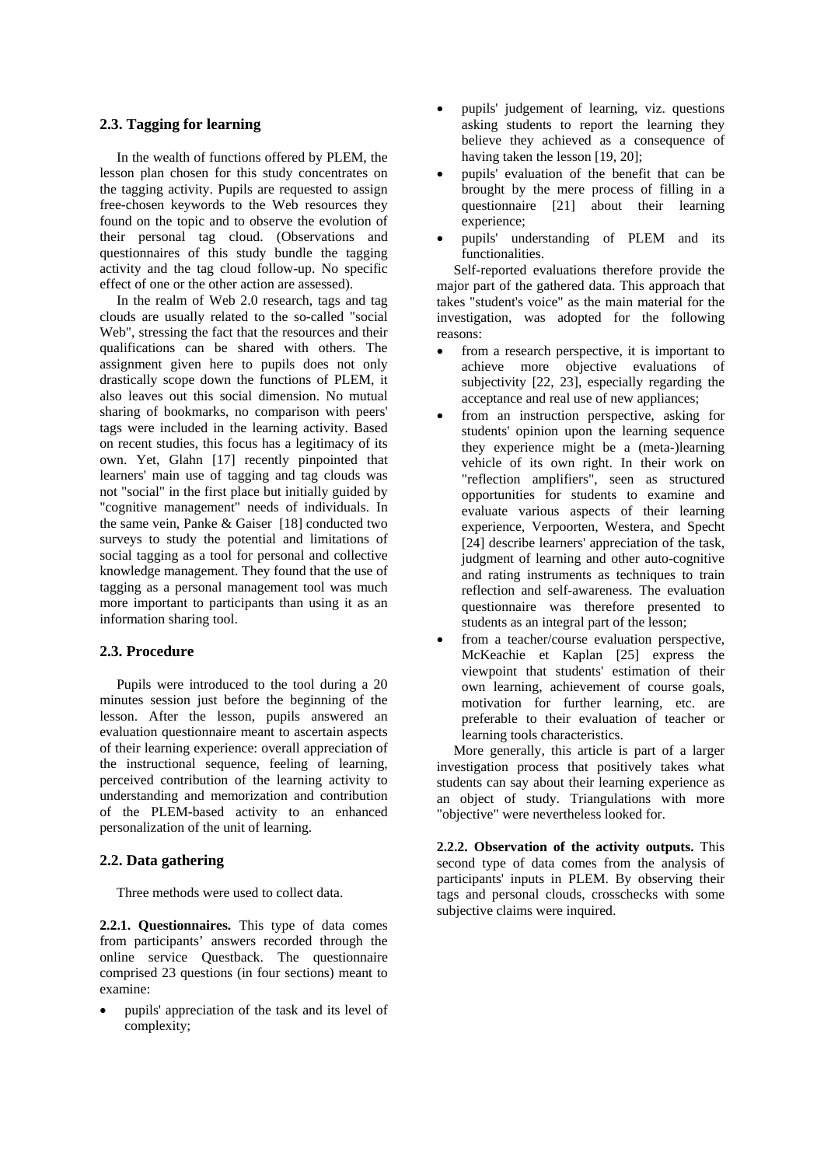# **2.3. Tagging for learning**

In the wealth of functions offered by PLEM, the lesson plan chosen for this study concentrates on the tagging activity. Pupils are requested to assign free-chosen keywords to the Web resources they found on the topic and to observe the evolution of their personal tag cloud. (Observations and questionnaires of this study bundle the tagging activity and the tag cloud follow-up. No specific effect of one or the other action are assessed).

In the realm of Web 2.0 research, tags and tag clouds are usually related to the so-called "social Web", stressing the fact that the resources and their qualifications can be shared with others. The assignment given here to pupils does not only drastically scope down the functions of PLEM, it also leaves out this social dimension. No mutual sharing of bookmarks, no comparison with peers' tags were included in the learning activity. Based on recent studies, this focus has a legitimacy of its own. Yet, Glahn [17] recently pinpointed that learners' main use of tagging and tag clouds was not "social" in the first place but initially guided by "cognitive management" needs of individuals. In the same vein, Panke & Gaiser [18] conducted two surveys to study the potential and limitations of social tagging as a tool for personal and collective knowledge management. They found that the use of tagging as a personal management tool was much more important to participants than using it as an information sharing tool.

# **2.3. Procedure**

Pupils were introduced to the tool during a 20 minutes session just before the beginning of the lesson. After the lesson, pupils answered an evaluation questionnaire meant to ascertain aspects of their learning experience: overall appreciation of the instructional sequence, feeling of learning, perceived contribution of the learning activity to understanding and memorization and contribution of the PLEM-based activity to an enhanced personalization of the unit of learning.

### **2.2. Data gathering**

Three methods were used to collect data.

**2.2.1. Questionnaires.** This type of data comes from participants' answers recorded through the online service Questback. The questionnaire comprised 23 questions (in four sections) meant to examine:

• pupils' appreciation of the task and its level of complexity;

- pupils' judgement of learning, viz. questions asking students to report the learning they believe they achieved as a consequence of having taken the lesson [19, 20];
- pupils' evaluation of the benefit that can be brought by the mere process of filling in a questionnaire [21] about their learning experience;
- pupils' understanding of PLEM and its functionalities.

Self-reported evaluations therefore provide the major part of the gathered data. This approach that takes "student's voice" as the main material for the investigation, was adopted for the following reasons:

- from a research perspective, it is important to achieve more objective evaluations of subjectivity [22, 23], especially regarding the acceptance and real use of new appliances;
- from an instruction perspective, asking for students' opinion upon the learning sequence they experience might be a (meta-)learning vehicle of its own right. In their work on "reflection amplifiers", seen as structured opportunities for students to examine and evaluate various aspects of their learning experience, Verpoorten, Westera, and Specht [24] describe learners' appreciation of the task, judgment of learning and other auto-cognitive and rating instruments as techniques to train reflection and self-awareness. The evaluation questionnaire was therefore presented to students as an integral part of the lesson;
- from a teacher/course evaluation perspective, McKeachie et Kaplan [25] express the viewpoint that students' estimation of their own learning, achievement of course goals, motivation for further learning, etc. are preferable to their evaluation of teacher or learning tools characteristics.

More generally, this article is part of a larger investigation process that positively takes what students can say about their learning experience as an object of study. Triangulations with more "objective" were nevertheless looked for.

**2.2.2. Observation of the activity outputs.** This second type of data comes from the analysis of participants' inputs in PLEM. By observing their tags and personal clouds, crosschecks with some subjective claims were inquired.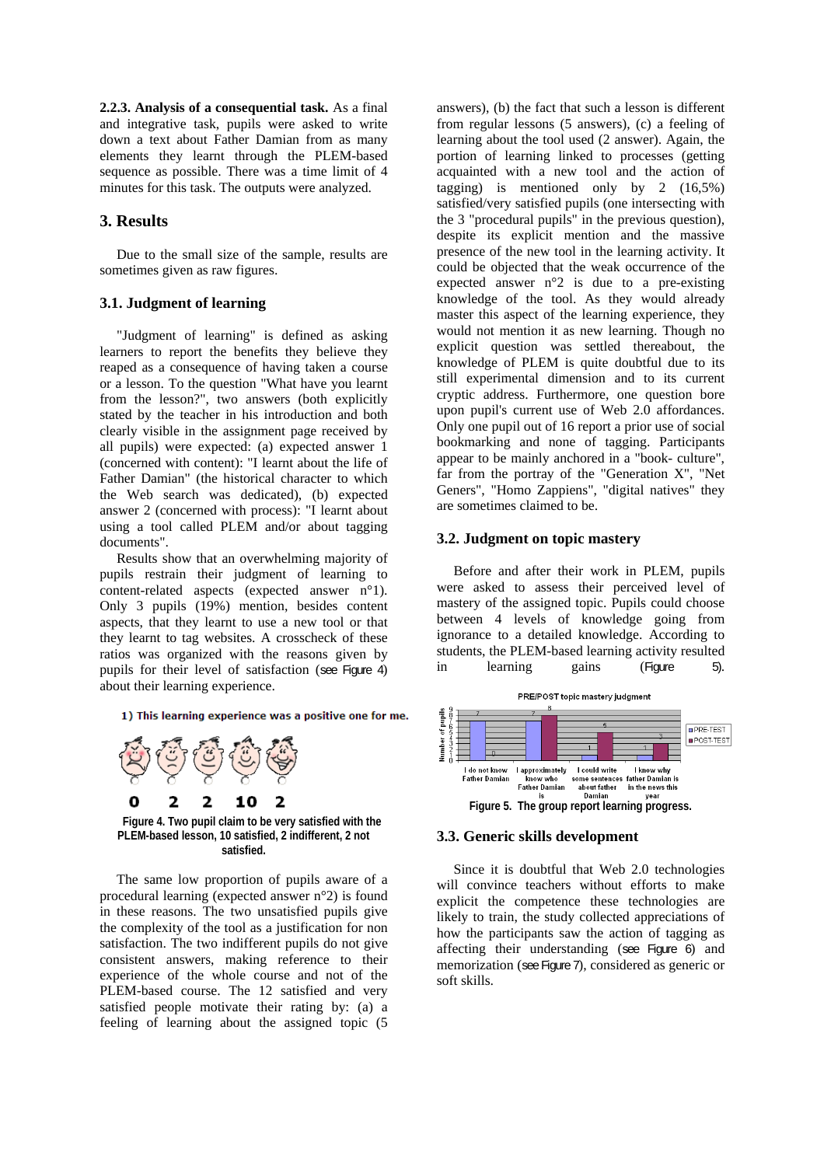**2.2.3. Analysis of a consequential task.** As a final and integrative task, pupils were asked to write down a text about Father Damian from as many elements they learnt through the PLEM-based sequence as possible. There was a time limit of 4 minutes for this task. The outputs were analyzed.

# **3. Results**

Due to the small size of the sample, results are sometimes given as raw figures.

# **3.1. Judgment of learning**

"Judgment of learning" is defined as asking learners to report the benefits they believe they reaped as a consequence of having taken a course or a lesson. To the question "What have you learnt from the lesson?", two answers (both explicitly stated by the teacher in his introduction and both clearly visible in the assignment page received by all pupils) were expected: (a) expected answer 1 (concerned with content): "I learnt about the life of Father Damian" (the historical character to which the Web search was dedicated), (b) expected answer 2 (concerned with process): "I learnt about using a tool called PLEM and/or about tagging documents".

Results show that an overwhelming majority of pupils restrain their judgment of learning to content-related aspects (expected answer n°1). Only 3 pupils (19%) mention, besides content aspects, that they learnt to use a new tool or that they learnt to tag websites. A crosscheck of these ratios was organized with the reasons given by pupils for their level of satisfaction (see Figure 4) about their learning experience.

1) This learning experience was a positive one for me.



**satisfied.** 

The same low proportion of pupils aware of a procedural learning (expected answer n°2) is found in these reasons. The two unsatisfied pupils give the complexity of the tool as a justification for non satisfaction. The two indifferent pupils do not give consistent answers, making reference to their experience of the whole course and not of the PLEM-based course. The 12 satisfied and very satisfied people motivate their rating by: (a) a feeling of learning about the assigned topic (5

answers), (b) the fact that such a lesson is different from regular lessons (5 answers), (c) a feeling of learning about the tool used (2 answer). Again, the portion of learning linked to processes (getting acquainted with a new tool and the action of tagging) is mentioned only by 2 (16,5%) satisfied/very satisfied pupils (one intersecting with the 3 "procedural pupils" in the previous question), despite its explicit mention and the massive presence of the new tool in the learning activity. It could be objected that the weak occurrence of the expected answer n°2 is due to a pre-existing knowledge of the tool. As they would already master this aspect of the learning experience, they would not mention it as new learning. Though no explicit question was settled thereabout, the knowledge of PLEM is quite doubtful due to its still experimental dimension and to its current cryptic address. Furthermore, one question bore upon pupil's current use of Web 2.0 affordances. Only one pupil out of 16 report a prior use of social bookmarking and none of tagging. Participants appear to be mainly anchored in a "book- culture", far from the portray of the "Generation X", "Net Geners", "Homo Zappiens", "digital natives" they are sometimes claimed to be.

# **3.2. Judgment on topic mastery**

Before and after their work in PLEM, pupils were asked to assess their perceived level of mastery of the assigned topic. Pupils could choose between 4 levels of knowledge going from ignorance to a detailed knowledge. According to students, the PLEM-based learning activity resulted in learning gains (Figure 5).



### **3.3. Generic skills development**

Since it is doubtful that Web 2.0 technologies will convince teachers without efforts to make explicit the competence these technologies are likely to train, the study collected appreciations of how the participants saw the action of tagging as affecting their understanding (see Figure 6) and memorization (see Figure 7), considered as generic or soft skills.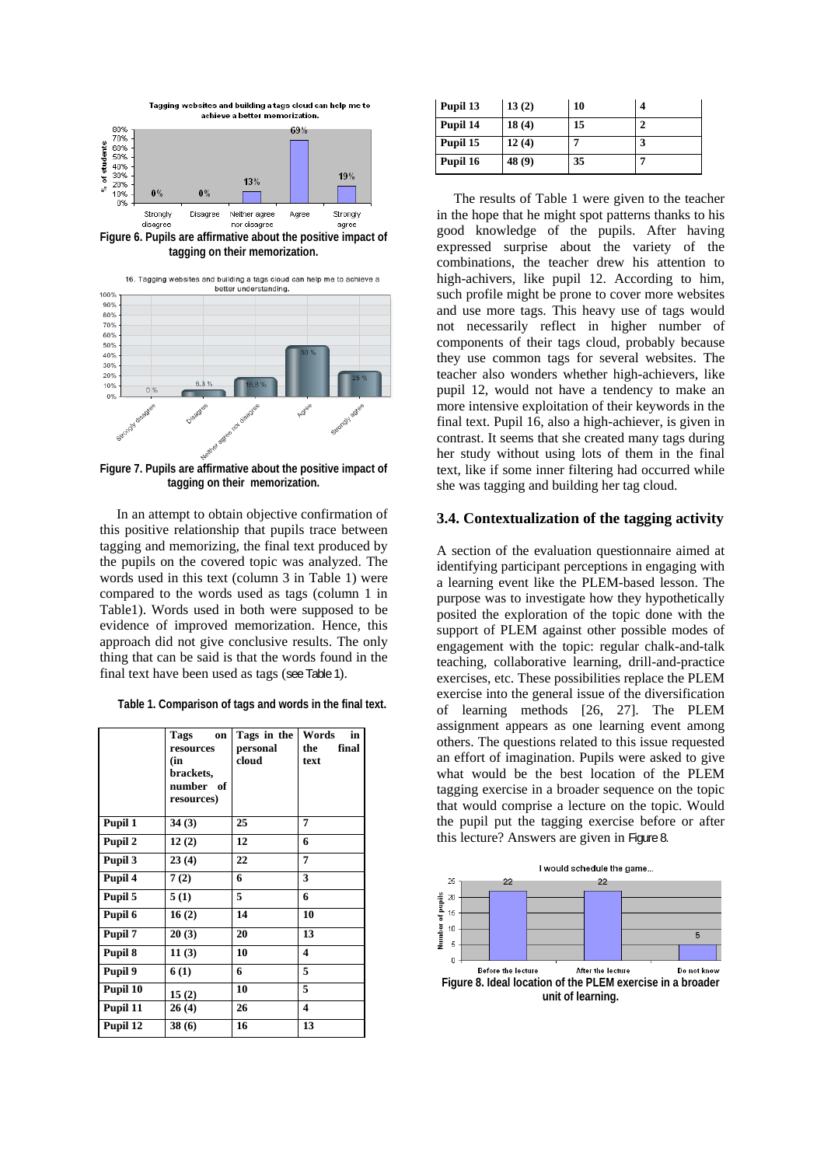

**Figure 6. Pupils are affirmative about the positive impact of tagging on their memorization.** 



**Figure 7. Pupils are affirmative about the positive impact of tagging on their memorization.** 

In an attempt to obtain objective confirmation of this positive relationship that pupils trace between tagging and memorizing, the final text produced by the pupils on the covered topic was analyzed. The words used in this text (column 3 in Table 1) were compared to the words used as tags (column 1 in Table1). Words used in both were supposed to be evidence of improved memorization. Hence, this approach did not give conclusive results. The only thing that can be said is that the words found in the final text have been used as tags (see Table 1).

| Table 1. Comparison of tags and words in the final text. |  |  |  |  |  |
|----------------------------------------------------------|--|--|--|--|--|
|----------------------------------------------------------|--|--|--|--|--|

|          | Tags<br>on<br>resources<br>(in<br>brackets,<br>number of<br>resources) | Tags in the<br>personal<br>cloud | in<br>Words<br>final<br>the<br>text |
|----------|------------------------------------------------------------------------|----------------------------------|-------------------------------------|
| Pupil 1  | 34(3)                                                                  | 25                               | 7                                   |
| Pupil 2  | 12(2)                                                                  | 12                               | 6                                   |
| Pupil 3  | 23(4)                                                                  | 22                               | 7                                   |
| Pupil 4  | 7(2)                                                                   | 6                                | 3                                   |
| Pupil 5  | 5(1)                                                                   | 5                                | 6                                   |
| Pupil 6  | 16(2)                                                                  | 14                               | 10                                  |
| Pupil 7  | 20(3)                                                                  | 20                               | 13                                  |
| Pupil 8  | 11(3)                                                                  | 10                               | $\boldsymbol{4}$                    |
| Pupil 9  | 6(1)                                                                   | 6                                | 5                                   |
| Pupil 10 | 15(2)                                                                  | 10                               | 5                                   |
| Pupil 11 | 26(4)                                                                  | 26                               | 4                                   |
| Pupil 12 | 38(6)                                                                  | 16                               | 13                                  |

| Pupil 13 | 13(2)  | 10 |  |
|----------|--------|----|--|
| Pupil 14 | 18(4)  | 15 |  |
| Pupil 15 | 12(4)  |    |  |
| Pupil 16 | 48 (9) | 35 |  |

The results of Table 1 were given to the teacher in the hope that he might spot patterns thanks to his good knowledge of the pupils. After having expressed surprise about the variety of the combinations, the teacher drew his attention to high-achivers, like pupil 12. According to him, such profile might be prone to cover more websites and use more tags. This heavy use of tags would not necessarily reflect in higher number of components of their tags cloud, probably because they use common tags for several websites. The teacher also wonders whether high-achievers, like pupil 12, would not have a tendency to make an more intensive exploitation of their keywords in the final text. Pupil 16, also a high-achiever, is given in contrast. It seems that she created many tags during her study without using lots of them in the final text, like if some inner filtering had occurred while she was tagging and building her tag cloud.

# **3.4. Contextualization of the tagging activity**

A section of the evaluation questionnaire aimed at identifying participant perceptions in engaging with a learning event like the PLEM-based lesson. The purpose was to investigate how they hypothetically posited the exploration of the topic done with the support of PLEM against other possible modes of engagement with the topic: regular chalk-and-talk teaching, collaborative learning, drill-and-practice exercises, etc. These possibilities replace the PLEM exercise into the general issue of the diversification of learning methods [26, 27]. The PLEM assignment appears as one learning event among others. The questions related to this issue requested an effort of imagination. Pupils were asked to give what would be the best location of the PLEM tagging exercise in a broader sequence on the topic that would comprise a lecture on the topic. Would the pupil put the tagging exercise before or after this lecture? Answers are given in Figure 8.

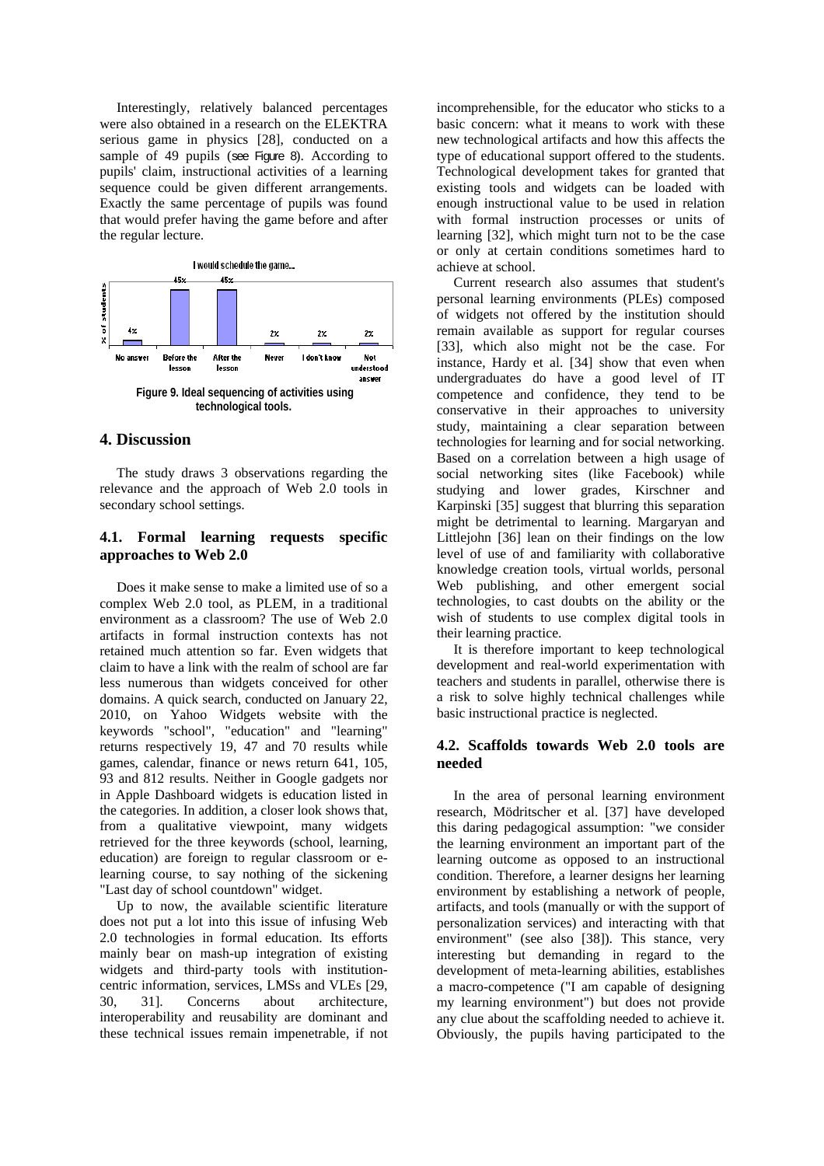Interestingly, relatively balanced percentages were also obtained in a research on the ELEKTRA serious game in physics [28], conducted on a sample of 49 pupils (see Figure 8). According to pupils' claim, instructional activities of a learning sequence could be given different arrangements. Exactly the same percentage of pupils was found that would prefer having the game before and after the regular lecture.



# **4. Discussion**

The study draws 3 observations regarding the relevance and the approach of Web 2.0 tools in secondary school settings.

# **4.1. Formal learning requests specific approaches to Web 2.0**

Does it make sense to make a limited use of so a complex Web 2.0 tool, as PLEM, in a traditional environment as a classroom? The use of Web 2.0 artifacts in formal instruction contexts has not retained much attention so far. Even widgets that claim to have a link with the realm of school are far less numerous than widgets conceived for other domains. A quick search, conducted on January 22, 2010, on Yahoo Widgets website with the keywords "school", "education" and "learning" returns respectively 19, 47 and 70 results while games, calendar, finance or news return 641, 105, 93 and 812 results. Neither in Google gadgets nor in Apple Dashboard widgets is education listed in the categories. In addition, a closer look shows that, from a qualitative viewpoint, many widgets retrieved for the three keywords (school, learning, education) are foreign to regular classroom or elearning course, to say nothing of the sickening "Last day of school countdown" widget.

Up to now, the available scientific literature does not put a lot into this issue of infusing Web 2.0 technologies in formal education. Its efforts mainly bear on mash-up integration of existing widgets and third-party tools with institutioncentric information, services, LMSs and VLEs [29, 30, 31]. Concerns about architecture, interoperability and reusability are dominant and these technical issues remain impenetrable, if not

incomprehensible, for the educator who sticks to a basic concern: what it means to work with these new technological artifacts and how this affects the type of educational support offered to the students. Technological development takes for granted that existing tools and widgets can be loaded with enough instructional value to be used in relation with formal instruction processes or units of learning [32], which might turn not to be the case or only at certain conditions sometimes hard to achieve at school.

Current research also assumes that student's personal learning environments (PLEs) composed of widgets not offered by the institution should remain available as support for regular courses [33], which also might not be the case. For instance, Hardy et al. [34] show that even when undergraduates do have a good level of IT competence and confidence, they tend to be conservative in their approaches to university study, maintaining a clear separation between technologies for learning and for social networking. Based on a correlation between a high usage of social networking sites (like Facebook) while studying and lower grades, Kirschner and Karpinski [35] suggest that blurring this separation might be detrimental to learning. Margaryan and Littlejohn [36] lean on their findings on the low level of use of and familiarity with collaborative knowledge creation tools, virtual worlds, personal Web publishing, and other emergent social technologies, to cast doubts on the ability or the wish of students to use complex digital tools in their learning practice.

It is therefore important to keep technological development and real-world experimentation with teachers and students in parallel, otherwise there is a risk to solve highly technical challenges while basic instructional practice is neglected.

# **4.2. Scaffolds towards Web 2.0 tools are needed**

In the area of personal learning environment research, Mödritscher et al. [37] have developed this daring pedagogical assumption: "we consider the learning environment an important part of the learning outcome as opposed to an instructional condition. Therefore, a learner designs her learning environment by establishing a network of people, artifacts, and tools (manually or with the support of personalization services) and interacting with that environment" (see also [38]). This stance, very interesting but demanding in regard to the development of meta-learning abilities, establishes a macro-competence ("I am capable of designing my learning environment") but does not provide any clue about the scaffolding needed to achieve it. Obviously, the pupils having participated to the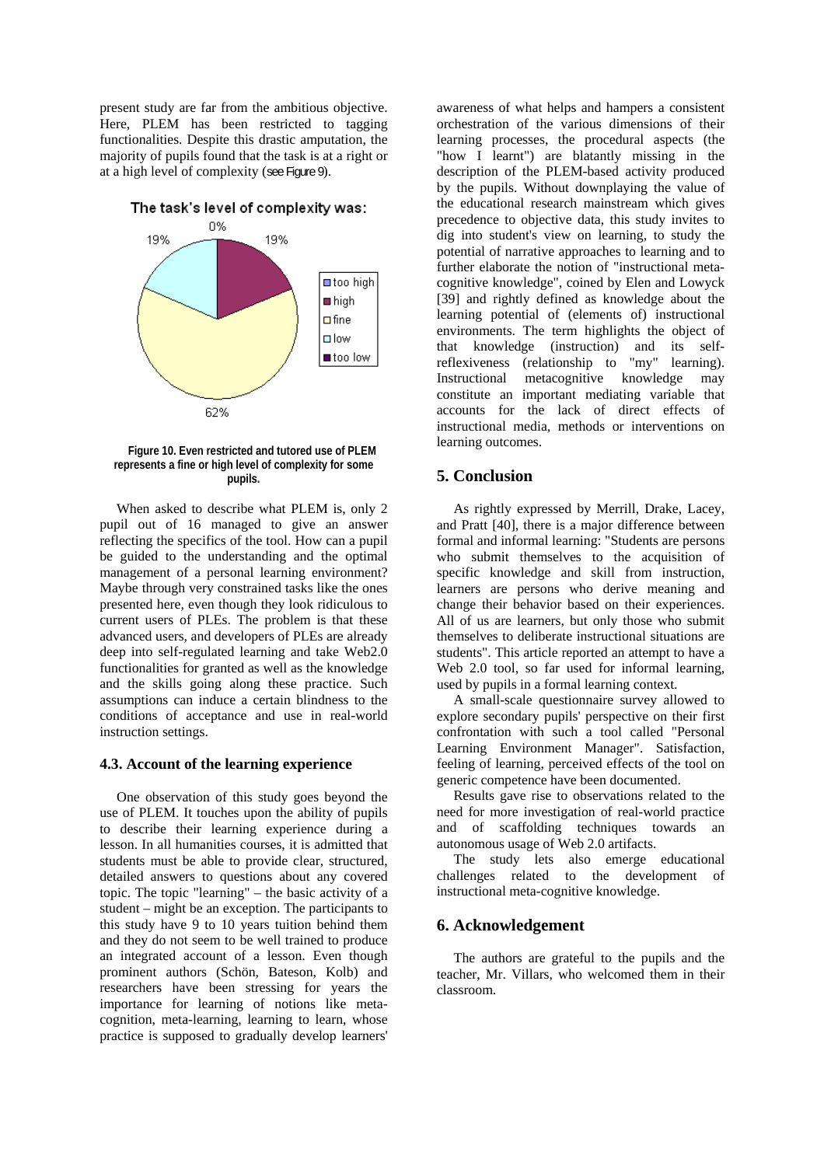present study are far from the ambitious objective. Here, PLEM has been restricted to tagging functionalities. Despite this drastic amputation, the majority of pupils found that the task is at a right or at a high level of complexity (see Figure 9).

The task's level of complexity was:



**Figure 10. Even restricted and tutored use of PLEM represents a fine or high level of complexity for some pupils.** 

When asked to describe what PLEM is, only 2 pupil out of 16 managed to give an answer reflecting the specifics of the tool. How can a pupil be guided to the understanding and the optimal management of a personal learning environment? Maybe through very constrained tasks like the ones presented here, even though they look ridiculous to current users of PLEs. The problem is that these advanced users, and developers of PLEs are already deep into self-regulated learning and take Web2.0 functionalities for granted as well as the knowledge and the skills going along these practice. Such assumptions can induce a certain blindness to the conditions of acceptance and use in real-world instruction settings.

## **4.3. Account of the learning experience**

One observation of this study goes beyond the use of PLEM. It touches upon the ability of pupils to describe their learning experience during a lesson. In all humanities courses, it is admitted that students must be able to provide clear, structured, detailed answers to questions about any covered topic. The topic "learning" – the basic activity of a student – might be an exception. The participants to this study have 9 to 10 years tuition behind them and they do not seem to be well trained to produce an integrated account of a lesson. Even though prominent authors (Schön, Bateson, Kolb) and researchers have been stressing for years the importance for learning of notions like metacognition, meta-learning, learning to learn, whose practice is supposed to gradually develop learners'

awareness of what helps and hampers a consistent orchestration of the various dimensions of their learning processes, the procedural aspects (the "how I learnt") are blatantly missing in the description of the PLEM-based activity produced by the pupils. Without downplaying the value of the educational research mainstream which gives precedence to objective data, this study invites to dig into student's view on learning, to study the potential of narrative approaches to learning and to further elaborate the notion of "instructional metacognitive knowledge", coined by Elen and Lowyck [39] and rightly defined as knowledge about the learning potential of (elements of) instructional environments. The term highlights the object of that knowledge (instruction) and its selfreflexiveness (relationship to "my" learning). Instructional metacognitive knowledge may constitute an important mediating variable that accounts for the lack of direct effects of instructional media, methods or interventions on learning outcomes.

# **5. Conclusion**

As rightly expressed by Merrill, Drake, Lacey, and Pratt [40], there is a major difference between formal and informal learning: "Students are persons who submit themselves to the acquisition of specific knowledge and skill from instruction, learners are persons who derive meaning and change their behavior based on their experiences. All of us are learners, but only those who submit themselves to deliberate instructional situations are students". This article reported an attempt to have a Web 2.0 tool, so far used for informal learning, used by pupils in a formal learning context.

A small-scale questionnaire survey allowed to explore secondary pupils' perspective on their first confrontation with such a tool called "Personal Learning Environment Manager". Satisfaction, feeling of learning, perceived effects of the tool on generic competence have been documented.

Results gave rise to observations related to the need for more investigation of real-world practice and of scaffolding techniques towards an autonomous usage of Web 2.0 artifacts.

The study lets also emerge educational challenges related to the development of instructional meta-cognitive knowledge.

# **6. Acknowledgement**

The authors are grateful to the pupils and the teacher, Mr. Villars, who welcomed them in their classroom.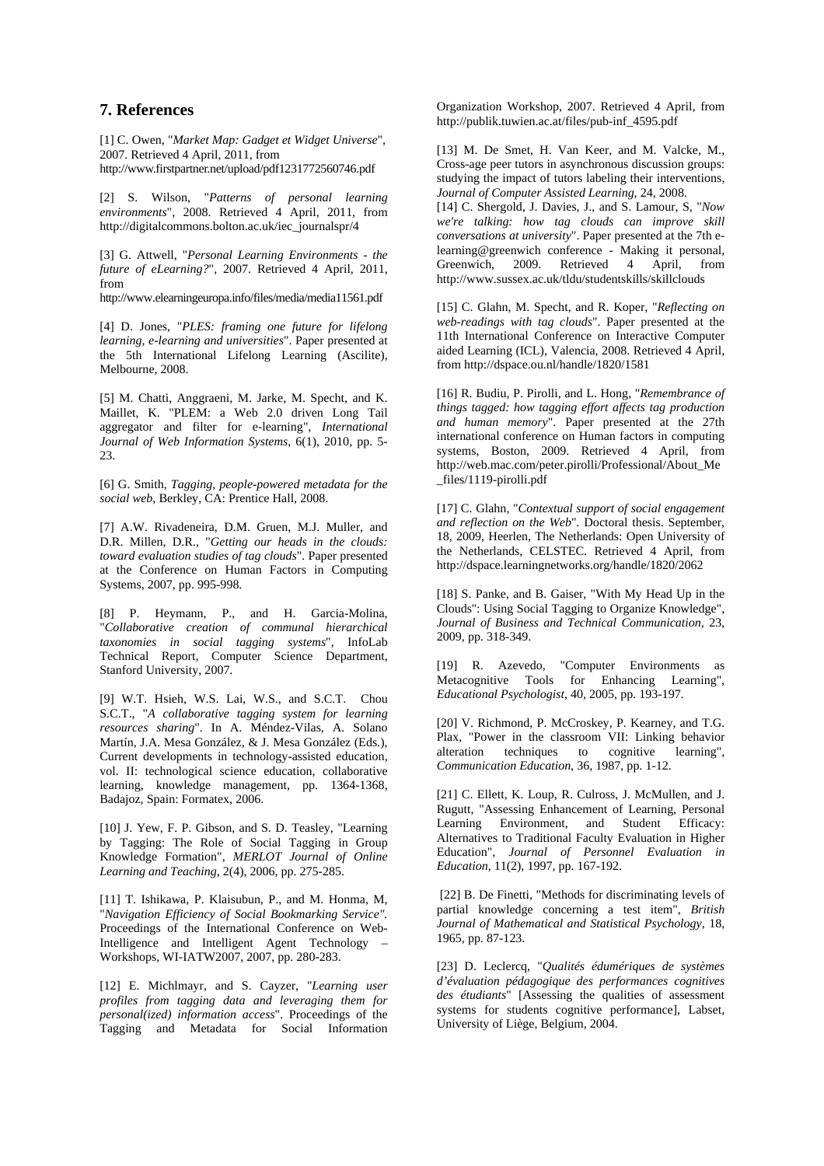# **7. References**

[1] C. Owen, "*Market Map: Gadget et Widget Universe*", 2007. Retrieved 4 April, 2011, from http://www.firstpartner.net/upload/pdf1231772560746.pdf

[2] S. Wilson, "*Patterns of personal learning environments*", 2008. Retrieved 4 April, 2011, from http://digitalcommons.bolton.ac.uk/iec\_journalspr/4

[3] G. Attwell, "*Personal Learning Environments - the future of eLearning?*", 2007. Retrieved 4 April, 2011, from

http://www.elearningeuropa.info/files/media/media11561.pdf

[4] D. Jones, "*PLES: framing one future for lifelong learning, e-learning and universities*". Paper presented at the 5th International Lifelong Learning (Ascilite), Melbourne, 2008.

[5] M. Chatti, Anggraeni, M. Jarke, M. Specht, and K. Maillet, K. "PLEM: a Web 2.0 driven Long Tail aggregator and filter for e-learning", *International Journal of Web Information Systems*, 6(1), 2010, pp. 5- 23.

[6] G. Smith, *Tagging, people-powered metadata for the social web*, Berkley, CA: Prentice Hall, 2008.

[7] A.W. Rivadeneira, D.M. Gruen, M.J. Muller, and D.R. Millen, D.R., "*Getting our heads in the clouds: toward evaluation studies of tag clouds*". Paper presented at the Conference on Human Factors in Computing Systems, 2007, pp. 995-998.

[8] P. Heymann, P., and H. Garcia-Molina, "*Collaborative creation of communal hierarchical taxonomies in social tagging systems*", InfoLab Technical Report, Computer Science Department, Stanford University, 2007.

[9] W.T. Hsieh, W.S. Lai, W.S., and S.C.T. Chou S.C.T., "*A collaborative tagging system for learning resources sharing*". In A. Méndez-Vilas, A. Solano Martín, J.A. Mesa González, & J. Mesa González (Eds.), Current developments in technology-assisted education, vol. II: technological science education, collaborative learning, knowledge management, pp. 1364-1368, Badajoz, Spain: Formatex, 2006.

[10] J. Yew, F. P. Gibson, and S. D. Teasley, "Learning by Tagging: The Role of Social Tagging in Group Knowledge Formation", *MERLOT Journal of Online Learning and Teaching*, 2(4), 2006, pp. 275-285.

[11] T. Ishikawa, P. Klaisubun, P., and M. Honma, M, "*Navigation Efficiency of Social Bookmarking Service".* Proceedings of the International Conference on Web-Intelligence and Intelligent Agent Technology – Workshops, WI-IATW2007, 2007, pp. 280-283.

[12] E. Michlmayr, and S. Cayzer, "*Learning user profiles from tagging data and leveraging them for personal(ized) information access*". Proceedings of the Tagging and Metadata for Social Information Organization Workshop, 2007. Retrieved 4 April, from http://publik.tuwien.ac.at/files/pub-inf\_4595.pdf

[13] M. De Smet, H. Van Keer, and M. Valcke, M., Cross-age peer tutors in asynchronous discussion groups: studying the impact of tutors labeling their interventions, *Journal of Computer Assisted Learning*, 24, 2008.

[14] C. Shergold, J. Davies, J., and S. Lamour, S, "*Now we're talking: how tag clouds can improve skill conversations at university*". Paper presented at the 7th elearning@greenwich conference - Making it personal,<br>Greenwich, 2009. Retrieved 4 April, from Retrieved 4 http://www.sussex.ac.uk/tldu/studentskills/skillclouds

[15] C. Glahn, M. Specht, and R. Koper, "*Reflecting on web-readings with tag clouds*". Paper presented at the 11th International Conference on Interactive Computer aided Learning (ICL), Valencia, 2008. Retrieved 4 April, from http://dspace.ou.nl/handle/1820/1581

[16] R. Budiu, P. Pirolli, and L. Hong, "*Remembrance of things tagged: how tagging effort affects tag production and human memory*". Paper presented at the 27th international conference on Human factors in computing systems, Boston, 2009. Retrieved 4 April, from http://web.mac.com/peter.pirolli/Professional/About\_Me files/1119-pirolli.pdf

[17] C. Glahn, "*Contextual support of social engagement and reflection on the Web*". Doctoral thesis. September, 18, 2009, Heerlen, The Netherlands: Open University of the Netherlands, CELSTEC. Retrieved 4 April, from http://dspace.learningnetworks.org/handle/1820/2062

[18] S. Panke, and B. Gaiser, "With My Head Up in the Clouds'': Using Social Tagging to Organize Knowledge", *Journal of Business and Technical Communication*, 23, 2009, pp. 318-349.

[19] R. Azevedo, "Computer Environments as Metacognitive Tools for Enhancing Learning", *Educational Psychologist*, 40, 2005, pp. 193-197.

[20] V. Richmond, P. McCroskey, P. Kearney, and T.G. Plax, "Power in the classroom VII: Linking behavior alteration techniques to cognitive learning", *Communication Education*, 36, 1987, pp. 1-12.

[21] C. Ellett, K. Loup, R. Culross, J. McMullen, and J. Rugutt, "Assessing Enhancement of Learning, Personal Learning Environment, and Student Efficacy: Alternatives to Traditional Faculty Evaluation in Higher Education", *Journal of Personnel Evaluation in Education*, 11(2), 1997, pp. 167-192.

[22] B. De Finetti, "Methods for discriminating levels of partial knowledge concerning a test item", *British Journal of Mathematical and Statistical Psychology*, 18, 1965, pp. 87-123.

[23] D. Leclercq, "*Qualités édumériques de systèmes d'évaluation pédagogique des performances cognitives des étudiants*" [Assessing the qualities of assessment systems for students cognitive performance], Labset, University of Liège, Belgium, 2004.